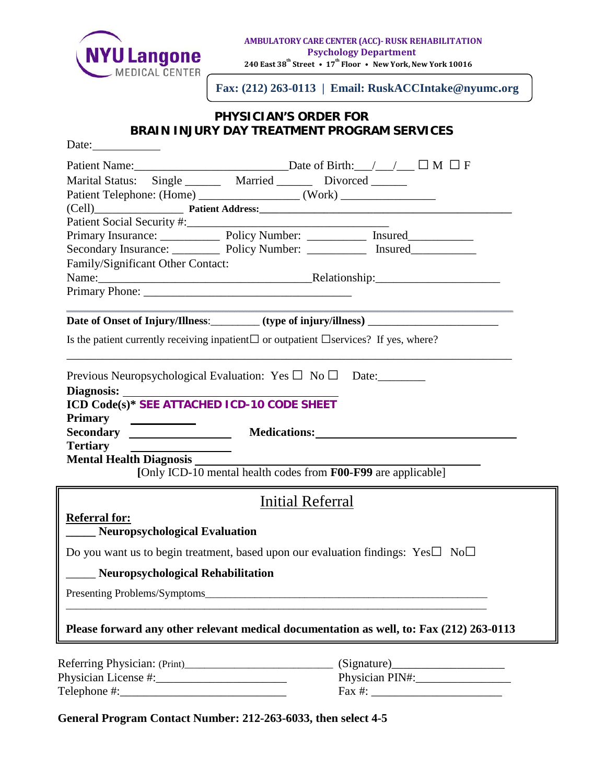

**Fax: (212) 263-0113 | Email: RuskACCIntake@nyumc.org**

## **PHYSICIAN'S ORDER FOR BRAIN INJURY DAY TREATMENT PROGRAM SERVICES**

| Date: $\frac{1}{\sqrt{1-\frac{1}{2}} \cdot \frac{1}{2}}$                                                                                                                                                                                               |                                                                          |                                                                                           |  |  |
|--------------------------------------------------------------------------------------------------------------------------------------------------------------------------------------------------------------------------------------------------------|--------------------------------------------------------------------------|-------------------------------------------------------------------------------------------|--|--|
|                                                                                                                                                                                                                                                        |                                                                          |                                                                                           |  |  |
|                                                                                                                                                                                                                                                        | Marital Status: Single _______ Married _______ Divorced ______           |                                                                                           |  |  |
|                                                                                                                                                                                                                                                        |                                                                          |                                                                                           |  |  |
|                                                                                                                                                                                                                                                        |                                                                          |                                                                                           |  |  |
| Patient Social Security #:                                                                                                                                                                                                                             |                                                                          |                                                                                           |  |  |
|                                                                                                                                                                                                                                                        |                                                                          | Primary Insurance: Policy Number: Insured                                                 |  |  |
|                                                                                                                                                                                                                                                        |                                                                          | Secondary Insurance: Policy Number: ____________ Insured________________________          |  |  |
| Family/Significant Other Contact:                                                                                                                                                                                                                      |                                                                          |                                                                                           |  |  |
|                                                                                                                                                                                                                                                        |                                                                          |                                                                                           |  |  |
|                                                                                                                                                                                                                                                        |                                                                          |                                                                                           |  |  |
|                                                                                                                                                                                                                                                        |                                                                          | Date of Onset of Injury/Illness: (type of injury/illness) _______________________         |  |  |
| Is the patient currently receiving inpatient $\Box$ or outpatient $\Box$ services? If yes, where?                                                                                                                                                      |                                                                          |                                                                                           |  |  |
|                                                                                                                                                                                                                                                        |                                                                          |                                                                                           |  |  |
|                                                                                                                                                                                                                                                        | Previous Neuropsychological Evaluation: Yes $\square$ No $\square$ Date: |                                                                                           |  |  |
|                                                                                                                                                                                                                                                        |                                                                          |                                                                                           |  |  |
| ICD Code(s)* SEE ATTACHED ICD-10 CODE SHEET                                                                                                                                                                                                            |                                                                          |                                                                                           |  |  |
| <b>Primary</b><br><u> The Community of the Community of the Community of the Community of the Community of the Community of the Community of the Community of the Community of the Community of the Community of the Community of the Community of</u> |                                                                          |                                                                                           |  |  |
|                                                                                                                                                                                                                                                        |                                                                          |                                                                                           |  |  |
| <b>Tertiary</b>                                                                                                                                                                                                                                        |                                                                          |                                                                                           |  |  |
| <b>Mental Health Diagnosis</b>                                                                                                                                                                                                                         |                                                                          | h Diagnosis<br>[Only ICD-10 mental health codes from F00-F99 are applicable]              |  |  |
|                                                                                                                                                                                                                                                        |                                                                          |                                                                                           |  |  |
|                                                                                                                                                                                                                                                        | Initial Referral                                                         |                                                                                           |  |  |
| <b>Referral for:</b>                                                                                                                                                                                                                                   |                                                                          |                                                                                           |  |  |
| Neuropsychological Evaluation                                                                                                                                                                                                                          |                                                                          |                                                                                           |  |  |
|                                                                                                                                                                                                                                                        |                                                                          | Do you want us to begin treatment, based upon our evaluation findings: $Yes \Box No \Box$ |  |  |
| Neuropsychological Rehabilitation                                                                                                                                                                                                                      |                                                                          |                                                                                           |  |  |
|                                                                                                                                                                                                                                                        |                                                                          |                                                                                           |  |  |
|                                                                                                                                                                                                                                                        |                                                                          |                                                                                           |  |  |
|                                                                                                                                                                                                                                                        |                                                                          | Please forward any other relevant medical documentation as well, to: Fax (212) 263-0113   |  |  |
|                                                                                                                                                                                                                                                        |                                                                          |                                                                                           |  |  |
|                                                                                                                                                                                                                                                        |                                                                          | (Signature)                                                                               |  |  |
|                                                                                                                                                                                                                                                        |                                                                          | Physician PIN#:                                                                           |  |  |
|                                                                                                                                                                                                                                                        |                                                                          |                                                                                           |  |  |

**General Program Contact Number: 212-263-6033, then select 4-5**